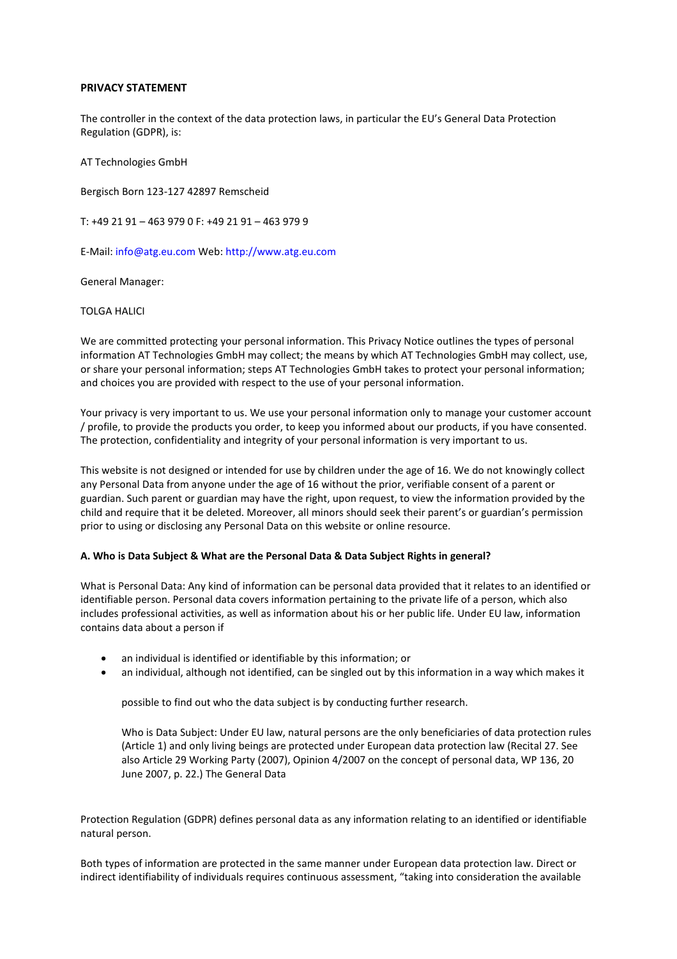# **PRIVACY STATEMENT**

The controller in the context of the data protection laws, in particular the EU's General Data Protection Regulation (GDPR), is:

AT Technologies GmbH

Bergisch Born 123-127 42897 Remscheid

T: +49 21 91 – 463 979 0 F: +49 21 91 – 463 979 9

E-Mail: info@atg.eu.com Web: http://www.atg.eu.com

General Manager:

TOLGA HALICI

We are committed protecting your personal information. This Privacy Notice outlines the types of personal information AT Technologies GmbH may collect; the means by which AT Technologies GmbH may collect, use, or share your personal information; steps AT Technologies GmbH takes to protect your personal information; and choices you are provided with respect to the use of your personal information.

Your privacy is very important to us. We use your personal information only to manage your customer account / profile, to provide the products you order, to keep you informed about our products, if you have consented. The protection, confidentiality and integrity of your personal information is very important to us.

This website is not designed or intended for use by children under the age of 16. We do not knowingly collect any Personal Data from anyone under the age of 16 without the prior, verifiable consent of a parent or guardian. Such parent or guardian may have the right, upon request, to view the information provided by the child and require that it be deleted. Moreover, all minors should seek their parent's or guardian's permission prior to using or disclosing any Personal Data on this website or online resource.

# **A. Who is Data Subject & What are the Personal Data & Data Subject Rights in general?**

What is Personal Data: Any kind of information can be personal data provided that it relates to an identified or identifiable person. Personal data covers information pertaining to the private life of a person, which also includes professional activities, as well as information about his or her public life. Under EU law, information contains data about a person if

- an individual is identified or identifiable by this information; or
- an individual, although not identified, can be singled out by this information in a way which makes it

possible to find out who the data subject is by conducting further research.

Who is Data Subject: Under EU law, natural persons are the only beneficiaries of data protection rules (Article 1) and only living beings are protected under European data protection law (Recital 27. See also Article 29 Working Party (2007), Opinion 4/2007 on the concept of personal data, WP 136, 20 June 2007, p. 22.) The General Data

Protection Regulation (GDPR) defines personal data as any information relating to an identified or identifiable natural person.

Both types of information are protected in the same manner under European data protection law. Direct or indirect identifiability of individuals requires continuous assessment, "taking into consideration the available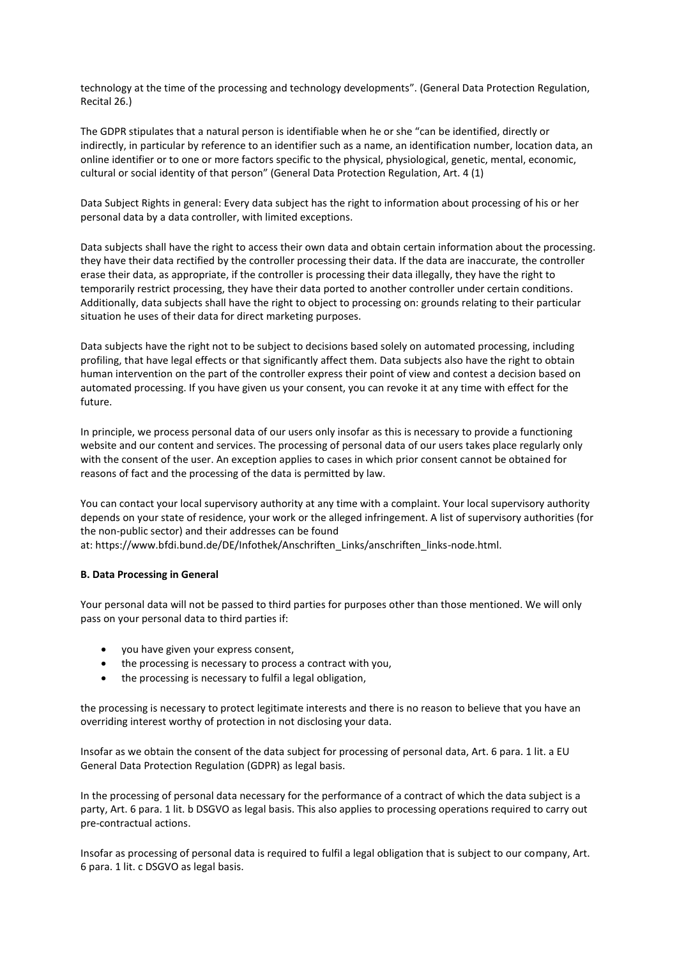technology at the time of the processing and technology developments". (General Data Protection Regulation, Recital 26.)

The GDPR stipulates that a natural person is identifiable when he or she "can be identified, directly or indirectly, in particular by reference to an identifier such as a name, an identification number, location data, an online identifier or to one or more factors specific to the physical, physiological, genetic, mental, economic, cultural or social identity of that person" (General Data Protection Regulation, Art. 4 (1)

Data Subject Rights in general: Every data subject has the right to information about processing of his or her personal data by a data controller, with limited exceptions.

Data subjects shall have the right to access their own data and obtain certain information about the processing. they have their data rectified by the controller processing their data. If the data are inaccurate, the controller erase their data, as appropriate, if the controller is processing their data illegally, they have the right to temporarily restrict processing, they have their data ported to another controller under certain conditions. Additionally, data subjects shall have the right to object to processing on: grounds relating to their particular situation he uses of their data for direct marketing purposes.

Data subjects have the right not to be subject to decisions based solely on automated processing, including profiling, that have legal effects or that significantly affect them. Data subjects also have the right to obtain human intervention on the part of the controller express their point of view and contest a decision based on automated processing. If you have given us your consent, you can revoke it at any time with effect for the future.

In principle, we process personal data of our users only insofar as this is necessary to provide a functioning website and our content and services. The processing of personal data of our users takes place regularly only with the consent of the user. An exception applies to cases in which prior consent cannot be obtained for reasons of fact and the processing of the data is permitted by law.

You can contact your local supervisory authority at any time with a complaint. Your local supervisory authority depends on your state of residence, your work or the alleged infringement. A list of supervisory authorities (for the non-public sector) and their addresses can be found

at: https://www.bfdi.bund.de/DE/Infothek/Anschriften\_Links/anschriften\_links-node.html.

# **B. Data Processing in General**

Your personal data will not be passed to third parties for purposes other than those mentioned. We will only pass on your personal data to third parties if:

- you have given your express consent,
- the processing is necessary to process a contract with you,
- the processing is necessary to fulfil a legal obligation,

the processing is necessary to protect legitimate interests and there is no reason to believe that you have an overriding interest worthy of protection in not disclosing your data.

Insofar as we obtain the consent of the data subject for processing of personal data, Art. 6 para. 1 lit. a EU General Data Protection Regulation (GDPR) as legal basis.

In the processing of personal data necessary for the performance of a contract of which the data subject is a party, Art. 6 para. 1 lit. b DSGVO as legal basis. This also applies to processing operations required to carry out pre-contractual actions.

Insofar as processing of personal data is required to fulfil a legal obligation that is subject to our company, Art. 6 para. 1 lit. c DSGVO as legal basis.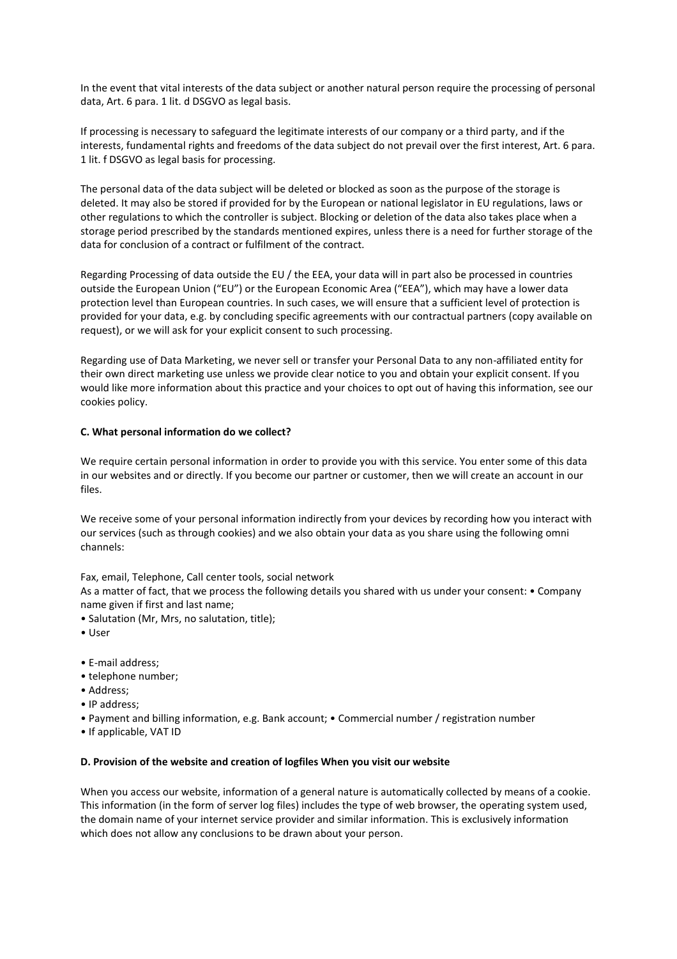In the event that vital interests of the data subject or another natural person require the processing of personal data, Art. 6 para. 1 lit. d DSGVO as legal basis.

If processing is necessary to safeguard the legitimate interests of our company or a third party, and if the interests, fundamental rights and freedoms of the data subject do not prevail over the first interest, Art. 6 para. 1 lit. f DSGVO as legal basis for processing.

The personal data of the data subject will be deleted or blocked as soon as the purpose of the storage is deleted. It may also be stored if provided for by the European or national legislator in EU regulations, laws or other regulations to which the controller is subject. Blocking or deletion of the data also takes place when a storage period prescribed by the standards mentioned expires, unless there is a need for further storage of the data for conclusion of a contract or fulfilment of the contract.

Regarding Processing of data outside the EU / the EEA, your data will in part also be processed in countries outside the European Union ("EU") or the European Economic Area ("EEA"), which may have a lower data protection level than European countries. In such cases, we will ensure that a sufficient level of protection is provided for your data, e.g. by concluding specific agreements with our contractual partners (copy available on request), or we will ask for your explicit consent to such processing.

Regarding use of Data Marketing, we never sell or transfer your Personal Data to any non-affiliated entity for their own direct marketing use unless we provide clear notice to you and obtain your explicit consent. If you would like more information about this practice and your choices to opt out of having this information, see our cookies policy.

# **C. What personal information do we collect?**

We require certain personal information in order to provide you with this service. You enter some of this data in our websites and or directly. If you become our partner or customer, then we will create an account in our files.

We receive some of your personal information indirectly from your devices by recording how you interact with our services (such as through cookies) and we also obtain your data as you share using the following omni channels:

Fax, email, Telephone, Call center tools, social network

As a matter of fact, that we process the following details you shared with us under your consent: • Company name given if first and last name;

- Salutation (Mr, Mrs, no salutation, title);
- User
- E-mail address;
- telephone number;
- Address;
- IP address;
- Payment and billing information, e.g. Bank account; Commercial number / registration number
- If applicable, VAT ID

# **D. Provision of the website and creation of logfiles When you visit our website**

When you access our website, information of a general nature is automatically collected by means of a cookie. This information (in the form of server log files) includes the type of web browser, the operating system used, the domain name of your internet service provider and similar information. This is exclusively information which does not allow any conclusions to be drawn about your person.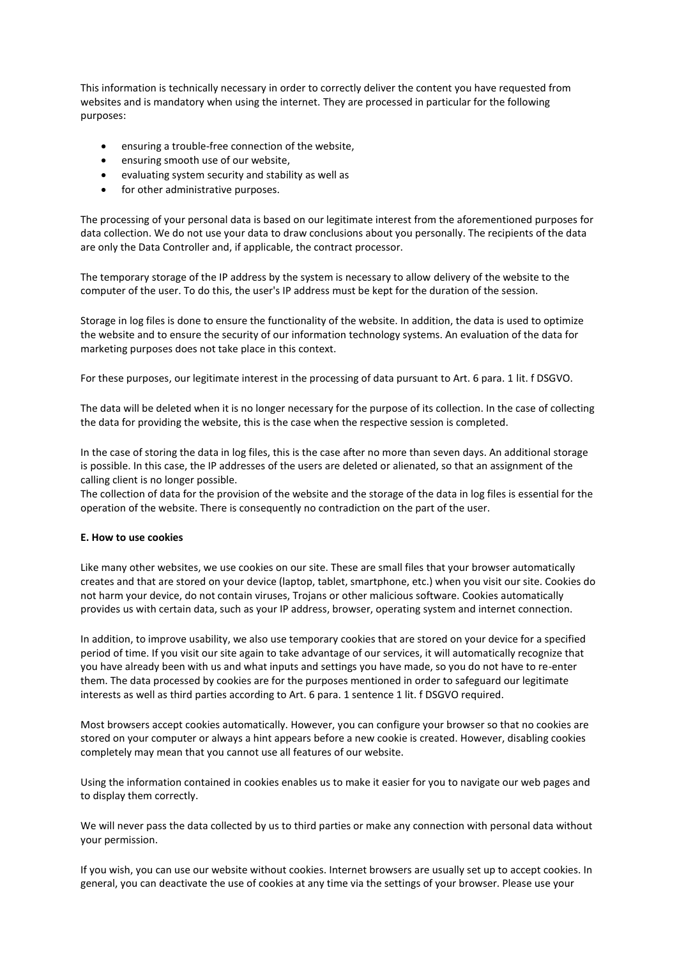This information is technically necessary in order to correctly deliver the content you have requested from websites and is mandatory when using the internet. They are processed in particular for the following purposes:

- ensuring a trouble-free connection of the website,
- ensuring smooth use of our website,
- evaluating system security and stability as well as
- for other administrative purposes.

The processing of your personal data is based on our legitimate interest from the aforementioned purposes for data collection. We do not use your data to draw conclusions about you personally. The recipients of the data are only the Data Controller and, if applicable, the contract processor.

The temporary storage of the IP address by the system is necessary to allow delivery of the website to the computer of the user. To do this, the user's IP address must be kept for the duration of the session.

Storage in log files is done to ensure the functionality of the website. In addition, the data is used to optimize the website and to ensure the security of our information technology systems. An evaluation of the data for marketing purposes does not take place in this context.

For these purposes, our legitimate interest in the processing of data pursuant to Art. 6 para. 1 lit. f DSGVO.

The data will be deleted when it is no longer necessary for the purpose of its collection. In the case of collecting the data for providing the website, this is the case when the respective session is completed.

In the case of storing the data in log files, this is the case after no more than seven days. An additional storage is possible. In this case, the IP addresses of the users are deleted or alienated, so that an assignment of the calling client is no longer possible.

The collection of data for the provision of the website and the storage of the data in log files is essential for the operation of the website. There is consequently no contradiction on the part of the user.

# **E. How to use cookies**

Like many other websites, we use cookies on our site. These are small files that your browser automatically creates and that are stored on your device (laptop, tablet, smartphone, etc.) when you visit our site. Cookies do not harm your device, do not contain viruses, Trojans or other malicious software. Cookies automatically provides us with certain data, such as your IP address, browser, operating system and internet connection.

In addition, to improve usability, we also use temporary cookies that are stored on your device for a specified period of time. If you visit our site again to take advantage of our services, it will automatically recognize that you have already been with us and what inputs and settings you have made, so you do not have to re-enter them. The data processed by cookies are for the purposes mentioned in order to safeguard our legitimate interests as well as third parties according to Art. 6 para. 1 sentence 1 lit. f DSGVO required.

Most browsers accept cookies automatically. However, you can configure your browser so that no cookies are stored on your computer or always a hint appears before a new cookie is created. However, disabling cookies completely may mean that you cannot use all features of our website.

Using the information contained in cookies enables us to make it easier for you to navigate our web pages and to display them correctly.

We will never pass the data collected by us to third parties or make any connection with personal data without your permission.

If you wish, you can use our website without cookies. Internet browsers are usually set up to accept cookies. In general, you can deactivate the use of cookies at any time via the settings of your browser. Please use your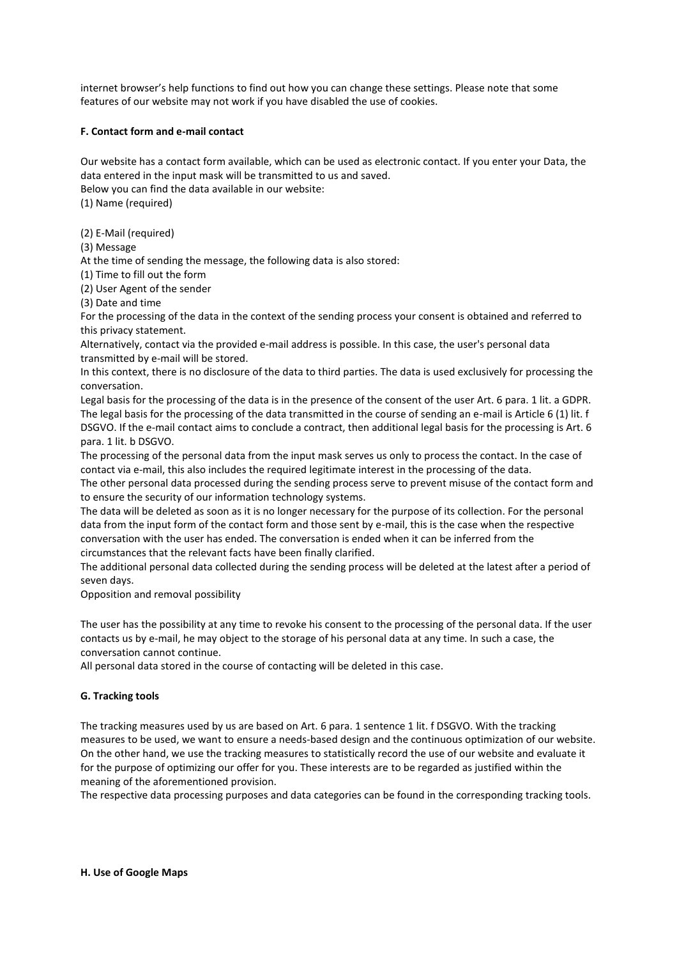internet browser's help functions to find out how you can change these settings. Please note that some features of our website may not work if you have disabled the use of cookies.

# **F. Contact form and e-mail contact**

Our website has a contact form available, which can be used as electronic contact. If you enter your Data, the data entered in the input mask will be transmitted to us and saved. Below you can find the data available in our website: (1) Name (required)

(2) E-Mail (required)

(3) Message

At the time of sending the message, the following data is also stored:

(1) Time to fill out the form

(2) User Agent of the sender

(3) Date and time

For the processing of the data in the context of the sending process your consent is obtained and referred to this privacy statement.

Alternatively, contact via the provided e-mail address is possible. In this case, the user's personal data transmitted by e-mail will be stored.

In this context, there is no disclosure of the data to third parties. The data is used exclusively for processing the conversation.

Legal basis for the processing of the data is in the presence of the consent of the user Art. 6 para. 1 lit. a GDPR. The legal basis for the processing of the data transmitted in the course of sending an e-mail is Article 6 (1) lit. f DSGVO. If the e-mail contact aims to conclude a contract, then additional legal basis for the processing is Art. 6 para. 1 lit. b DSGVO.

The processing of the personal data from the input mask serves us only to process the contact. In the case of contact via e-mail, this also includes the required legitimate interest in the processing of the data.

The other personal data processed during the sending process serve to prevent misuse of the contact form and to ensure the security of our information technology systems.

The data will be deleted as soon as it is no longer necessary for the purpose of its collection. For the personal data from the input form of the contact form and those sent by e-mail, this is the case when the respective conversation with the user has ended. The conversation is ended when it can be inferred from the circumstances that the relevant facts have been finally clarified.

The additional personal data collected during the sending process will be deleted at the latest after a period of seven days.

Opposition and removal possibility

The user has the possibility at any time to revoke his consent to the processing of the personal data. If the user contacts us by e-mail, he may object to the storage of his personal data at any time. In such a case, the conversation cannot continue.

All personal data stored in the course of contacting will be deleted in this case.

# **G. Tracking tools**

The tracking measures used by us are based on Art. 6 para. 1 sentence 1 lit. f DSGVO. With the tracking measures to be used, we want to ensure a needs-based design and the continuous optimization of our website. On the other hand, we use the tracking measures to statistically record the use of our website and evaluate it for the purpose of optimizing our offer for you. These interests are to be regarded as justified within the meaning of the aforementioned provision.

The respective data processing purposes and data categories can be found in the corresponding tracking tools.